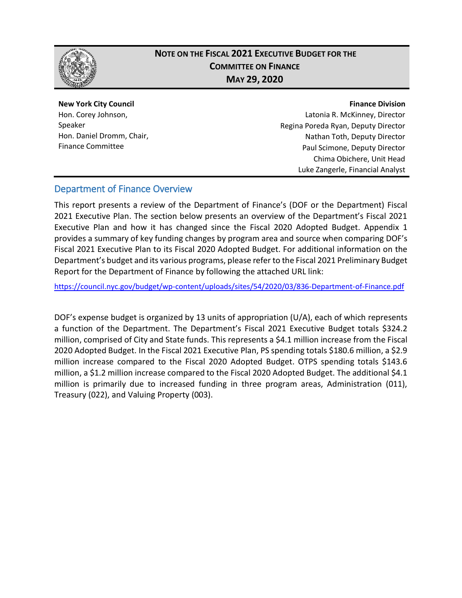

## **NOTE ON THE FISCAL 2021 EXECUTIVE BUDGET FOR THE COMMITTEE ON FINANCE MAY 29, 2020**

## **New York City Council** Hon. Corey Johnson,

Speaker Hon. Daniel Dromm, Chair, Finance Committee

#### **Finance Division**

Latonia R. McKinney, Director Regina Poreda Ryan, Deputy Director Nathan Toth, Deputy Director Paul Scimone, Deputy Director Chima Obichere, Unit Head Luke Zangerle, Financial Analyst

## Department of Finance Overview

This report presents a review of the Department of Finance's (DOF or the Department) Fiscal 2021 Executive Plan. The section below presents an overview of the Department's Fiscal 2021 Executive Plan and how it has changed since the Fiscal 2020 Adopted Budget. Appendix 1 provides a summary of key funding changes by program area and source when comparing DOF's Fiscal 2021 Executive Plan to its Fiscal 2020 Adopted Budget. For additional information on the Department's budget and its various programs, please refer to the Fiscal 2021 Preliminary Budget Report for the Department of Finance by following the attached URL link:

<https://council.nyc.gov/budget/wp-content/uploads/sites/54/2020/03/836-Department-of-Finance.pdf>

DOF's expense budget is organized by 13 units of appropriation (U/A), each of which represents a function of the Department. The Department's Fiscal 2021 Executive Budget totals \$324.2 million, comprised of City and State funds. This represents a \$4.1 million increase from the Fiscal 2020 Adopted Budget. In the Fiscal 2021 Executive Plan, PS spending totals \$180.6 million, a \$2.9 million increase compared to the Fiscal 2020 Adopted Budget. OTPS spending totals \$143.6 million, a \$1.2 million increase compared to the Fiscal 2020 Adopted Budget. The additional \$4.1 million is primarily due to increased funding in three program areas, Administration (011), Treasury (022), and Valuing Property (003).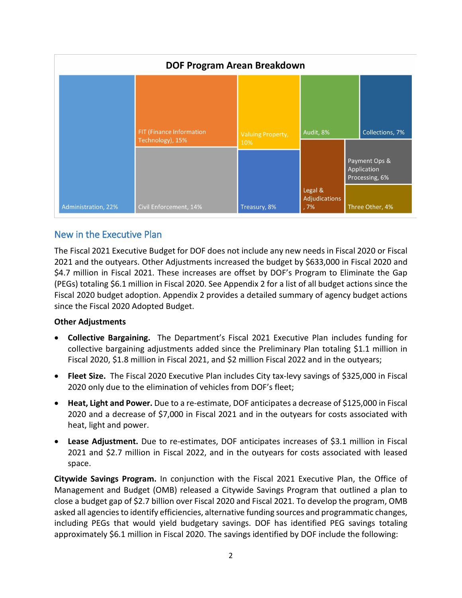| <b>DOF Program Arean Breakdown</b> |                                              |                          |                                  |  |                                                |  |  |
|------------------------------------|----------------------------------------------|--------------------------|----------------------------------|--|------------------------------------------------|--|--|
|                                    |                                              |                          |                                  |  |                                                |  |  |
|                                    |                                              |                          |                                  |  |                                                |  |  |
|                                    | FIT (Finance Information<br>Technology), 15% | <b>Valuing Property,</b> | Audit, 8%                        |  | Collections, 7%                                |  |  |
|                                    |                                              | 10%                      |                                  |  | Payment Ops &<br>Application<br>Processing, 6% |  |  |
| Administration, 22%                | Civil Enforcement, 14%                       | Treasury, 8%             | Legal &<br>Adjudications<br>, 7% |  | Three Other, 4%                                |  |  |

### New in the Executive Plan

The Fiscal 2021 Executive Budget for DOF does not include any new needs in Fiscal 2020 or Fiscal 2021 and the outyears. Other Adjustments increased the budget by \$633,000 in Fiscal 2020 and \$4.7 million in Fiscal 2021. These increases are offset by DOF's Program to Eliminate the Gap (PEGs) totaling \$6.1 million in Fiscal 2020. See Appendix 2 for a list of all budget actions since the Fiscal 2020 budget adoption. Appendix 2 provides a detailed summary of agency budget actions since the Fiscal 2020 Adopted Budget.

#### **Other Adjustments**

- **Collective Bargaining.** The Department's Fiscal 2021 Executive Plan includes funding for collective bargaining adjustments added since the Preliminary Plan totaling \$1.1 million in Fiscal 2020, \$1.8 million in Fiscal 2021, and \$2 million Fiscal 2022 and in the outyears;
- **Fleet Size.** The Fiscal 2020 Executive Plan includes City tax-levy savings of \$325,000 in Fiscal 2020 only due to the elimination of vehicles from DOF's fleet;
- **Heat, Light and Power.** Due to a re-estimate, DOF anticipates a decrease of \$125,000 in Fiscal 2020 and a decrease of \$7,000 in Fiscal 2021 and in the outyears for costs associated with heat, light and power.
- **Lease Adjustment.** Due to re-estimates, DOF anticipates increases of \$3.1 million in Fiscal 2021 and \$2.7 million in Fiscal 2022, and in the outyears for costs associated with leased space.

**Citywide Savings Program.** In conjunction with the Fiscal 2021 Executive Plan, the Office of Management and Budget (OMB) released a Citywide Savings Program that outlined a plan to close a budget gap of \$2.7 billion over Fiscal 2020 and Fiscal 2021. To develop the program, OMB asked all agencies to identify efficiencies, alternative funding sources and programmatic changes, including PEGs that would yield budgetary savings. DOF has identified PEG savings totaling approximately \$6.1 million in Fiscal 2020. The savings identified by DOF include the following: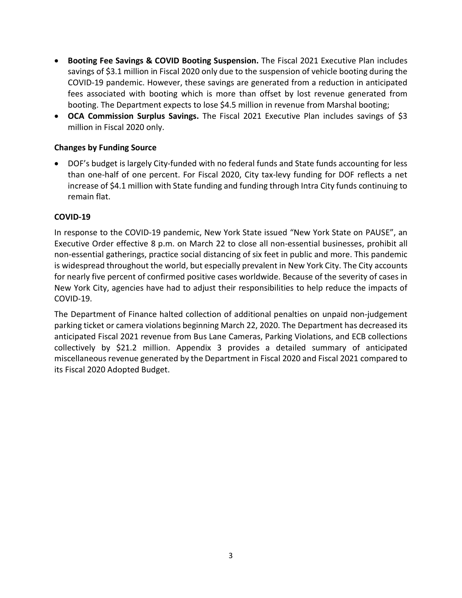- **Booting Fee Savings & COVID Booting Suspension.** The Fiscal 2021 Executive Plan includes savings of \$3.1 million in Fiscal 2020 only due to the suspension of vehicle booting during the COVID-19 pandemic. However, these savings are generated from a reduction in anticipated fees associated with booting which is more than offset by lost revenue generated from booting. The Department expects to lose \$4.5 million in revenue from Marshal booting;
- **OCA Commission Surplus Savings.** The Fiscal 2021 Executive Plan includes savings of \$3 million in Fiscal 2020 only.

#### **Changes by Funding Source**

• DOF's budget is largely City-funded with no federal funds and State funds accounting for less than one-half of one percent. For Fiscal 2020, City tax-levy funding for DOF reflects a net increase of \$4.1 million with State funding and funding through Intra City funds continuing to remain flat.

#### **COVID-19**

In response to the COVID-19 pandemic, New York State issued "New York State on PAUSE", an Executive Order effective 8 p.m. on March 22 to close all non-essential businesses, prohibit all non-essential gatherings, practice social distancing of six feet in public and more. This pandemic is widespread throughout the world, but especially prevalent in New York City. The City accounts for nearly five percent of confirmed positive cases worldwide. Because of the severity of cases in New York City, agencies have had to adjust their responsibilities to help reduce the impacts of COVID-19.

The Department of Finance halted collection of additional penalties on unpaid non-judgement parking ticket or camera violations beginning March 22, 2020. The Department has decreased its anticipated Fiscal 2021 revenue from Bus Lane Cameras, Parking Violations, and ECB collections collectively by \$21.2 million. Appendix 3 provides a detailed summary of anticipated miscellaneous revenue generated by the Department in Fiscal 2020 and Fiscal 2021 compared to its Fiscal 2020 Adopted Budget.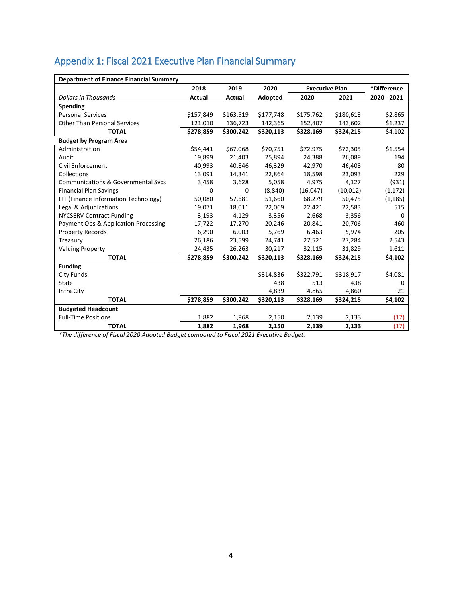# Appendix 1: Fiscal 2021 Executive Plan Financial Summary

| <b>Department of Finance Financial Summary</b> |           |           |           |                       |           |             |  |  |
|------------------------------------------------|-----------|-----------|-----------|-----------------------|-----------|-------------|--|--|
|                                                | 2018      | 2019      | 2020      | <b>Executive Plan</b> |           | *Difference |  |  |
| <b>Dollars in Thousands</b>                    | Actual    | Actual    | Adopted   | 2020                  | 2021      | 2020 - 2021 |  |  |
| Spending                                       |           |           |           |                       |           |             |  |  |
| <b>Personal Services</b>                       | \$157,849 | \$163,519 | \$177,748 | \$175,762             | \$180,613 | \$2,865     |  |  |
| <b>Other Than Personal Services</b>            | 121,010   | 136,723   | 142,365   | 152,407               | 143,602   | \$1,237     |  |  |
| <b>TOTAL</b>                                   | \$278,859 | \$300,242 | \$320,113 | \$328,169             | \$324,215 | \$4,102     |  |  |
| <b>Budget by Program Area</b>                  |           |           |           |                       |           |             |  |  |
| Administration                                 | \$54,441  | \$67,068  | \$70,751  | \$72,975              | \$72,305  | \$1,554     |  |  |
| Audit                                          | 19,899    | 21,403    | 25.894    | 24,388                | 26,089    | 194         |  |  |
| Civil Enforcement                              | 40,993    | 40,846    | 46,329    | 42,970                | 46,408    | 80          |  |  |
| Collections                                    | 13,091    | 14,341    | 22,864    | 18,598                | 23,093    | 229         |  |  |
| Communications & Governmental Sycs             | 3,458     | 3,628     | 5,058     | 4,975                 | 4,127     | (931)       |  |  |
| <b>Financial Plan Savings</b>                  | 0         | 0         | (8, 840)  | (16,047)              | (10, 012) | (1, 172)    |  |  |
| FIT (Finance Information Technology)           | 50,080    | 57,681    | 51,660    | 68,279                | 50,475    | (1, 185)    |  |  |
| Legal & Adjudications                          | 19,071    | 18,011    | 22,069    | 22,421                | 22,583    | 515         |  |  |
| <b>NYCSERV Contract Funding</b>                | 3,193     | 4,129     | 3,356     | 2,668                 | 3,356     | 0           |  |  |
| Payment Ops & Application Processing           | 17,722    | 17,270    | 20,246    | 20,841                | 20,706    | 460         |  |  |
| <b>Property Records</b>                        | 6,290     | 6,003     | 5,769     | 6,463                 | 5,974     | 205         |  |  |
| Treasury                                       | 26,186    | 23,599    | 24,741    | 27,521                | 27,284    | 2,543       |  |  |
| <b>Valuing Property</b>                        | 24,435    | 26,263    | 30,217    | 32,115                | 31,829    | 1,611       |  |  |
| <b>TOTAL</b>                                   | \$278,859 | \$300,242 | \$320,113 | \$328,169             | \$324,215 | \$4,102     |  |  |
| <b>Funding</b>                                 |           |           |           |                       |           |             |  |  |
| City Funds                                     |           |           | \$314,836 | \$322,791             | \$318,917 | \$4,081     |  |  |
| State                                          |           |           | 438       | 513                   | 438       | 0           |  |  |
| Intra City                                     |           |           | 4,839     | 4,865                 | 4,860     | 21          |  |  |
| <b>TOTAL</b>                                   | \$278,859 | \$300,242 | \$320,113 | \$328,169             | \$324,215 | \$4,102     |  |  |
| <b>Budgeted Headcount</b>                      |           |           |           |                       |           |             |  |  |
| <b>Full-Time Positions</b>                     | 1,882     | 1,968     | 2,150     | 2,139                 | 2,133     | (17)        |  |  |
| <b>TOTAL</b>                                   | 1,882     | 1,968     | 2,150     | 2,139                 | 2,133     | (17)        |  |  |

*\*The difference of Fiscal 2020 Adopted Budget compared to Fiscal 2021 Executive Budget.*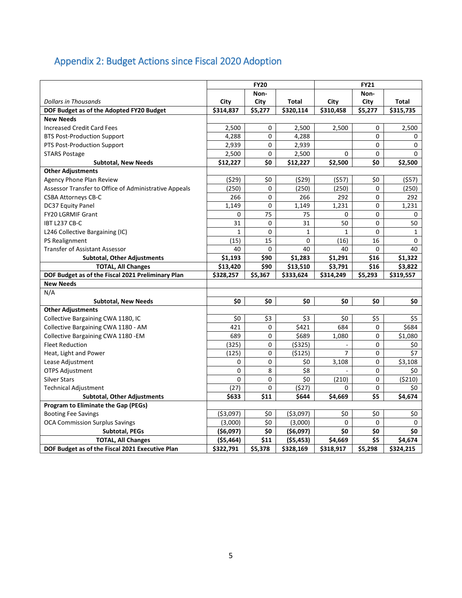# Appendix 2: Budget Actions since Fiscal 2020 Adoption

|                                                       | <b>FY20</b>  |             |              | <b>FY21</b>  |          |                            |  |
|-------------------------------------------------------|--------------|-------------|--------------|--------------|----------|----------------------------|--|
|                                                       |              | Non-        |              |              | Non-     |                            |  |
| <b>Dollars in Thousands</b>                           | City         | City        | Total        | City         | City     | Total                      |  |
| DOF Budget as of the Adopted FY20 Budget              | \$314,837    | \$5,277     | \$320,114    | \$310,458    | \$5,277  | \$315,735                  |  |
| <b>New Needs</b>                                      |              |             |              |              |          |                            |  |
| <b>Increased Credit Card Fees</b>                     | 2,500        | 0           | 2,500        | 2,500        | 0        | 2,500                      |  |
| <b>BTS Post-Production Support</b>                    | 4,288        | 0           | 4,288        |              | 0        | 0                          |  |
| PTS Post-Production Support                           | 2,939        | 0           | 2,939        |              | 0        | 0                          |  |
| <b>STARS Postage</b>                                  | 2,500        | 0           | 2,500        | $\Omega$     | 0        | 0                          |  |
| <b>Subtotal, New Needs</b>                            | \$12,227     | \$0         | \$12,227     | \$2,500      | \$0      | \$2,500                    |  |
| <b>Other Adjustments</b>                              |              |             |              |              |          |                            |  |
| Agency Phone Plan Review                              | (529)        | \$0         | (529)        | (557)        | \$0      | (557)                      |  |
| Assessor Transfer to Office of Administrative Appeals | (250)        | 0           | (250)        | (250)        | $\Omega$ | (250)                      |  |
| <b>CSBA Attorneys CB-C</b>                            | 266          | 0           | 266          | 292          | 0        | 292                        |  |
| DC37 Equity Panel                                     | 1,149        | 0           | 1,149        | 1,231        | 0        | 1,231                      |  |
| FY20 LGRMIF Grant                                     | 0            | 75          | 75           | 0            | 0        | 0                          |  |
| IBT L237 CB-C                                         | 31           | $\mathbf 0$ | 31           | 50           | 0        | 50                         |  |
| L246 Collective Bargaining (IC)                       | $\mathbf{1}$ | $\mathbf 0$ | $\mathbf{1}$ | $\mathbf{1}$ | 0        | $\mathbf{1}$               |  |
| PS Realignment                                        | (15)         | 15          | 0            | (16)         | 16       | 0                          |  |
| <b>Transfer of Assistant Assessor</b>                 | 40           | 0           | 40           | 40           | $\Omega$ | 40                         |  |
| <b>Subtotal, Other Adjustments</b>                    | \$1,193      | \$90        | \$1,283      | \$1,291      | \$16     | \$1,322                    |  |
| <b>TOTAL, All Changes</b>                             | \$13,420     | \$90        | \$13,510     | \$3,791      | \$16     | \$3,822                    |  |
| DOF Budget as of the Fiscal 2021 Preliminary Plan     | \$328,257    | \$5,367     | \$333,624    | \$314,249    | \$5,293  | \$319,557                  |  |
| <b>New Needs</b>                                      |              |             |              |              |          |                            |  |
| N/A                                                   |              |             |              |              |          |                            |  |
| <b>Subtotal, New Needs</b>                            | \$0          | \$0         | \$0          | \$0          | \$0      | \$0                        |  |
| <b>Other Adjustments</b>                              |              |             |              |              |          |                            |  |
| Collective Bargaining CWA 1180, IC                    | \$0          | \$3         | \$3          | \$0          | \$5      | \$5                        |  |
| Collective Bargaining CWA 1180 - AM                   | 421          | 0           | \$421        | 684          | $\Omega$ | \$684                      |  |
| Collective Bargaining CWA 1180 - EM                   | 689          | 0           | \$689        | 1,080        | $\Omega$ | \$1,080                    |  |
| <b>Fleet Reduction</b>                                | (325)        | 0           | ( \$325)     |              | 0        | \$0                        |  |
| Heat, Light and Power                                 | (125)        | 0           | (5125)       | 7            | 0        | $\overline{\overline{57}}$ |  |
| Lease Adjustment                                      | 0            | 0           | \$0          | 3,108        | 0        | \$3,108                    |  |
| <b>OTPS Adjustment</b>                                | 0            | 8           | \$8          |              | 0        | \$0                        |  |
| <b>Silver Stars</b>                                   | 0            | 0           | \$0          | (210)        | 0        | (5210)                     |  |
| <b>Technical Adjustment</b>                           | (27)         | 0           | (527)        | 0            | 0        | \$0                        |  |
| <b>Subtotal, Other Adjustments</b>                    | \$633        | \$11        | \$644        | \$4,669      | \$5      | \$4,674                    |  |
| Program to Eliminate the Gap (PEGs)                   |              |             |              |              |          |                            |  |
| <b>Booting Fee Savings</b>                            | ( \$3,097)   | \$0         | ( \$3,097)   | \$0          | \$0      | \$0                        |  |
| <b>OCA Commission Surplus Savings</b>                 | (3,000)      | \$0         | (3,000)      | $\Omega$     | $\Omega$ | 0                          |  |
| <b>Subtotal, PEGs</b>                                 | ( \$6,097)   | \$0         | ( \$6,097)   | \$0          | \$0      | \$0                        |  |
| <b>TOTAL, All Changes</b>                             | ( \$5,464)   | \$11        | (55, 453)    | \$4,669      | \$5      | \$4,674                    |  |
| DOF Budget as of the Fiscal 2021 Executive Plan       | \$322,791    | \$5,378     | \$328,169    | \$318,917    | \$5,298  | \$324,215                  |  |